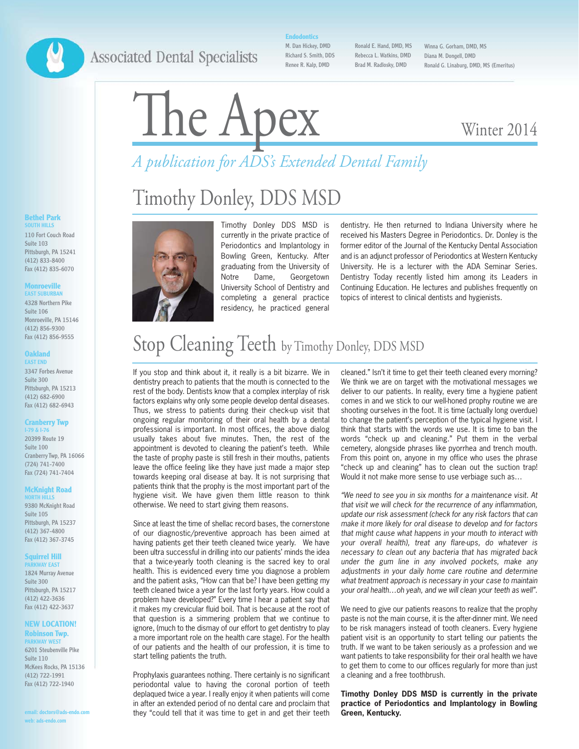### **Associated Dental Specialists**

**Endodontics**

M. Dan Hickey, DMD Richard S. Smith, DDS Renee R. Kalp, DMD

Ronald E. Hand, DMD, MS Rebecca L. Watkins, DMD Brad M. Radlosky, DMD

Winna G. Gorham, DMD, MS Diana M. Dongell, DMD Ronald G. Linaburg, DMD, MS (Emeritus)

### Winter 2014

# *A publication for ADS's Extended Dental Family* A publication for ADS's Extended Dental Family

## Timothy Donley, DDS MSD



Timothy Donley DDS MSD is currently in the private practice of Periodontics and Implantology in Bowling Green, Kentucky. After graduating from the University of Notre Dame, Georgetown University School of Dentistry and completing a general practice residency, he practiced general

dentistry. He then returned to Indiana University where he received his Masters Degree in Periodontics. Dr. Donley is the former editor of the Journal of the Kentucky Dental Association and is an adjunct professor of Periodontics at Western Kentucky University. He is a lecturer with the ADA Seminar Series. Dentistry Today recently listed him among its Leaders in Continuing Education. He lectures and publishes frequently on topics of interest to clinical dentists and hygienists.

### Stop Cleaning Teeth by Timothy Donley, DDS MSD

If you stop and think about it, it really is a bit bizarre. We in dentistry preach to patients that the mouth is connected to the rest of the body. Dentists know that a complex interplay of risk factors explains why only some people develop dental diseases. Thus, we stress to patients during their check-up visit that ongoing regular monitoring of their oral health by a dental professional is important. In most offices, the above dialog usually takes about five minutes. Then, the rest of the appointment is devoted to cleaning the patient's teeth. While the taste of prophy paste is still fresh in their mouths, patients leave the office feeling like they have just made a major step towards keeping oral disease at bay. It is not surprising that patients think that the prophy is the most important part of the hygiene visit. We have given them little reason to think otherwise. We need to start giving them reasons.

Since at least the time of shellac record bases, the cornerstone of our diagnostic/preventive approach has been aimed at having patients get their teeth cleaned twice yearly. We have been ultra successful in drilling into our patients' minds the idea that a twice-yearly tooth cleaning is the sacred key to oral health. This is evidenced every time you diagnose a problem and the patient asks, "How can that be? I have been getting my teeth cleaned twice a year for the last forty years. How could a problem have developed?" Every time I hear a patient say that it makes my crevicular fluid boil. That is because at the root of that question is a simmering problem that we continue to ignore, (much to the dismay of our effort to get dentistry to play a more important role on the health care stage). For the health of our patients and the health of our profession, it is time to start telling patients the truth.

Prophylaxis guarantees nothing. There certainly is no significant periodontal value to having the coronal portion of teeth deplaqued twice a year. I really enjoy it when patients will come in after an extended period of no dental care and proclaim that they "could tell that it was time to get in and get their teeth

cleaned." Isn't it time to get their teeth cleaned every morning? We think we are on target with the motivational messages we deliver to our patients. In reality, every time a hygiene patient comes in and we stick to our well-honed prophy routine we are shooting ourselves in the foot. It is time (actually long overdue) to change the patient's perception of the typical hygiene visit. I think that starts with the words we use. It is time to ban the words "check up and cleaning." Put them in the verbal cemetery, alongside phrases like pyorrhea and trench mouth. From this point on, anyone in my office who uses the phrase "check up and cleaning" has to clean out the suction trap! Would it not make more sense to use verbiage such as…

"We need to see you in six months for a maintenance visit. At that visit we will check for the recurrence of any inflammation, update our risk assessment (check for any risk factors that can make it more likely for oral disease to develop and for factors that might cause what happens in your mouth to interact with your overall health), treat any flare-ups, do whatever is necessary to clean out any bacteria that has migrated back under the gum line in any involved pockets, make any adjustments in your daily home care routine and determine what treatment approach is necessary in your case to maintain your oral health…oh yeah, and we will clean your teeth as well".

We need to give our patients reasons to realize that the prophy paste is not the main course, it is the after-dinner mint. We need to be risk managers instead of tooth cleaners. Every hygiene patient visit is an opportunity to start telling our patients the truth. If we want to be taken seriously as a profession and we want patients to take responsibility for their oral health we have to get them to come to our offices regularly for more than just a cleaning and a free toothbrush.

**Timothy Donley DDS MSD is currently in the private practice of Periodontics and Implantology in Bowling Green, Kentucky.**

#### **Bethel Park SOUTH HILLS**

110 Fort Couch Road Suite 103 Pittsburgh, PA 15241 (412) 833-8400 Fax (412) 835-6070

#### **Monroeville EAST SUBURBAN**

4328 Northern Pike Suite 106 Monroeville, PA 15146 (412) 856-9300 Fax (412) 856-9555

#### **Oakland EAST END**

3347 Forbes Avenue Suite 300 Pittsburgh, PA 15213 (412) 682-6900 Fax (412) 682-6943

#### **Cranberry Twp**

**I-79 & I-76** 20399 Route 19 Suite 100 Cranberry Twp, PA 16066 (724) 741-7400 Fax (724) 741-7404

#### **McKnight Road NORTH HILLS**

9380 McKnight Road Suite 105 Pittsburgh, PA 15237 (412) 367-4800 Fax (412) 367-3745

#### **Squirrel Hill**

**WAY EAST** 1824 Murray Avenue Suite 300 Pittsburgh, PA 15217 (412) 422-3636 Fax (412) 422-3637

#### **NEW LOCATION! Robinson Twp. RKWAY WEST**

6201 Steubenville Pike Suite 110 McKees Rocks, PA 15136 (412) 722-1991 Fax (412) 722-1940

**email: doctors@ads-endo.com web: ads-endo.com**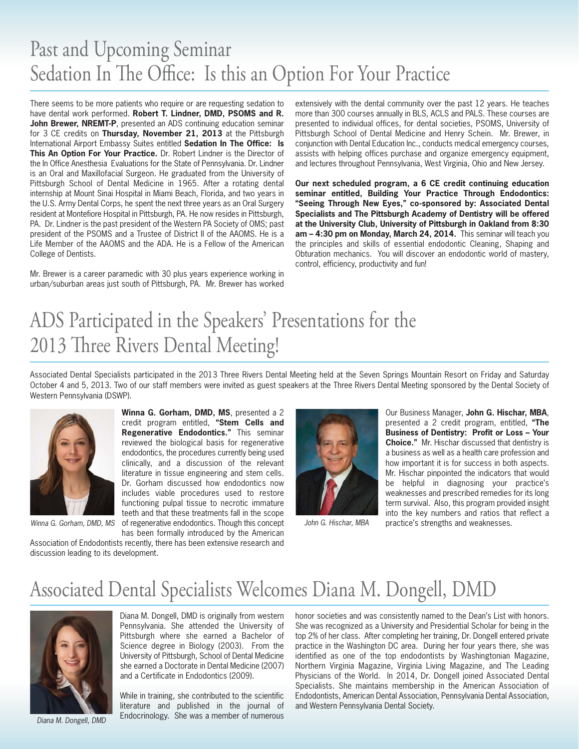### Past and Upcoming Seminar Sedation In The Office: Is this an Option For Your Practice

There seems to be more patients who require or are requesting sedation to have dental work performed. **Robert T. Lindner, DMD, PSOMS and R. John Brewer, NREMT-P**, presented an ADS continuing education seminar for 3 CE credits on **Thursday, November 21, 2013** at the Pittsburgh International Airport Embassy Suites entitled **Sedation In The Office: Is This An Option For Your Practice.** Dr. Robert Lindner is the Director of the In Office Anesthesia Evaluations for the State of Pennsylvania. Dr. Lindner is an Oral and Maxillofacial Surgeon. He graduated from the University of Pittsburgh School of Dental Medicine in 1965. After a rotating dental internship at Mount Sinai Hospital in Miami Beach, Florida, and two years in the U.S. Army Dental Corps, he spent the next three years as an Oral Surgery resident at Montefiore Hospital in Pittsburgh, PA. He now resides in Pittsburgh, PA. Dr. Lindner is the past president of the Western PA Society of OMS; past president of the PSOMS and a Trustee of District II of the AAOMS. He is a Life Member of the AAOMS and the ADA. He is a Fellow of the American College of Dentists.

Mr. Brewer is a career paramedic with 30 plus years experience working in urban/suburban areas just south of Pittsburgh, PA. Mr. Brewer has worked

extensively with the dental community over the past 12 years. He teaches more than 300 courses annually in BLS, ACLS and PALS. These courses are presented to individual offices, for dental societies, PSOMS, University of Pittsburgh School of Dental Medicine and Henry Schein. Mr. Brewer, in conjunction with Dental Education Inc., conducts medical emergency courses, assists with helping offices purchase and organize emergency equipment, and lectures throughout Pennsylvania, West Virginia, Ohio and New Jersey.

**Our next scheduled program, a 6 CE credit continuing education seminar entitled, Building Your Practice Through Endodontics: "Seeing Through New Eyes," co-sponsored by: Associated Dental Specialists and The Pittsburgh Academy of Dentistry will be offered at the University Club, University of Pittsburgh in Oakland from 8:30 am – 4:30 pm on Monday, March 24, 2014.** This seminar will teach you the principles and skills of essential endodontic Cleaning, Shaping and Obturation mechanics. You will discover an endodontic world of mastery, control, efficiency, productivity and fun!

## ADS Participated in the Speakers' Presentations for the 2013 Three Rivers Dental Meeting!

Associated Dental Specialists participated in the 2013 Three Rivers Dental Meeting held at the Seven Springs Mountain Resort on Friday and Saturday October 4 and 5, 2013. Two of our staff members were invited as guest speakers at the Three Rivers Dental Meeting sponsored by the Dental Society of Western Pennsylvania (DSWP).



**Winna G. Gorham, DMD, MS**, presented a 2 credit program entitled, **"Stem Cells and Regenerative Endodontics."** This seminar reviewed the biological basis for regenerative endodontics, the procedures currently being used clinically, and a discussion of the relevant literature in tissue engineering and stem cells. Dr. Gorham discussed how endodontics now includes viable procedures used to restore functioning pulpal tissue to necrotic immature teeth and that these treatments fall in the scope Winna G. Gorham, DMD, MS of regenerative endodontics. Though this concept John G. Hischar, MBA

has been formally introduced by the American Association of Endodontists recently, there has been extensive research and discussion leading to its development.



Our Business Manager, **John G. Hischar, MBA**, presented a 2 credit program, entitled, **"The Business of Dentistry: Profit or Loss – Your Choice."** Mr. Hischar discussed that dentistry is a business as well as a health care profession and how important it is for success in both aspects. Mr. Hischar pinpointed the indicators that would be helpful in diagnosing your practice's weaknesses and prescribed remedies for its long term survival. Also, this program provided insight into the key numbers and ratios that reflect a practice's strengths and weaknesses.

### Associated Dental Specialists Welcomes Diana M. Dongell, DMD



Diana M. Dongell, DMD

Diana M. Dongell, DMD is originally from western Pennsylvania. She attended the University of Pittsburgh where she earned a Bachelor of Science degree in Biology (2003). From the University of Pittsburgh, School of Dental Medicine she earned a Doctorate in Dental Medicine (2007) and a Certificate in Endodontics (2009).

While in training, she contributed to the scientific literature and published in the journal of Endocrinology. She was a member of numerous

honor societies and was consistently named to the Dean's List with honors. She was recognized as a University and Presidential Scholar for being in the top 2% of her class. After completing her training, Dr. Dongell entered private practice in the Washington DC area. During her four years there, she was identified as one of the top endodontists by Washingtonian Magazine, Northern Virginia Magazine, Virginia Living Magazine, and The Leading Physicians of the World. In 2014, Dr. Dongell joined Associated Dental Specialists. She maintains membership in the American Association of Endodontists, American Dental Association, Pennsylvania Dental Association, and Western Pennsylvania Dental Society.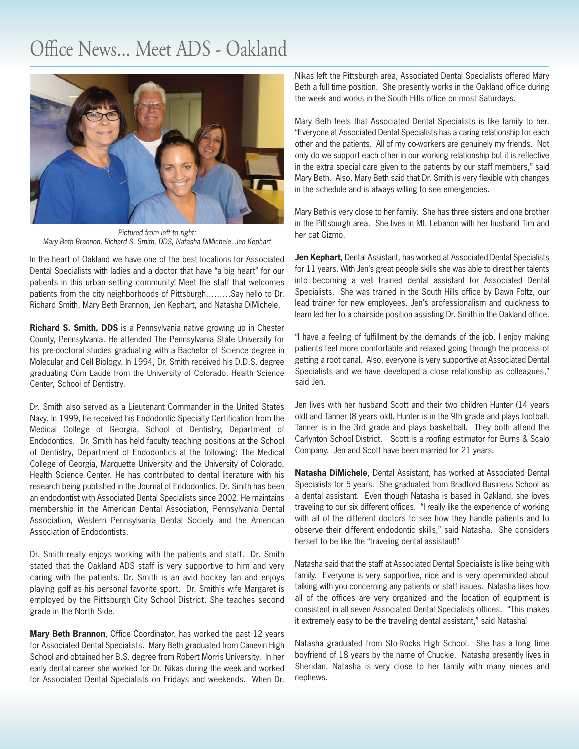### Office News... Meet ADS - Oakland



Pictured from left to right: Mary Beth Brannon, Richard S. Smith, DDS, Natasha DiMichele, Jen Kephart

In the heart of Oakland we have one of the best locations for Associated Dental Specialists with ladies and a doctor that have "a big heart" for our patients in this urban setting community! Meet the staff that welcomes patients from the city neighborhoods of Pittsburgh………Say hello to Dr. Richard Smith, Mary Beth Brannon, Jen Kephart, and Natasha DiMichele.

**Richard S. Smith, DDS** is a Pennsylvania native growing up in Chester County, Pennsylvania. He attended The Pennsylvania State University for his pre-doctoral studies graduating with a Bachelor of Science degree in Molecular and Cell Biology. In 1994, Dr. Smith received his D.D.S. degree graduating Cum Laude from the University of Colorado, Health Science Center, School of Dentistry.

Dr. Smith also served as a Lieutenant Commander in the United States Navy. In 1999, he received his Endodontic Specialty Certification from the Medical College of Georgia, School of Dentistry, Department of Endodontics. Dr. Smith has held faculty teaching positions at the School of Dentistry, Department of Endodontics at the following: The Medical College of Georgia, Marquette University and the University of Colorado, Health Science Center. He has contributed to dental literature with his research being published in the Journal of Endodontics. Dr. Smith has been an endodontist with Associated Dental Specialists since 2002. He maintains membership in the American Dental Association, Pennsylvania Dental Association, Western Pennsylvania Dental Society and the American Association of Endodontists.

Dr. Smith really enjoys working with the patients and staff. Dr. Smith stated that the Oakland ADS staff is very supportive to him and very caring with the patients. Dr. Smith is an avid hockey fan and enjoys playing golf as his personal favorite sport. Dr. Smith's wife Margaret is employed by the Pittsburgh City School District. She teaches second grade in the North Side.

**Mary Beth Brannon**, Office Coordinator, has worked the past 12 years for Associated Dental Specialists. Mary Beth graduated from Canevin High School and obtained her B.S. degree from Robert Morris University. In her early dental career she worked for Dr. Nikas during the week and worked for Associated Dental Specialists on Fridays and weekends. When Dr.

Nikas left the Pittsburgh area, Associated Dental Specialists offered Mary Beth a full time position. She presently works in the Oakland office during the week and works in the South Hills office on most Saturdays.

Mary Beth feels that Associated Dental Specialists is like family to her. "Everyone at Associated Dental Specialists has a caring relationship for each other and the patients. All of my co-workers are genuinely my friends. Not only do we support each other in our working relationship but it is reflective in the extra special care given to the patients by our staff members," said Mary Beth. Also, Mary Beth said that Dr. Smith is very flexible with changes in the schedule and is always willing to see emergencies.

Mary Beth is very close to her family. She has three sisters and one brother in the Pittsburgh area. She lives in Mt. Lebanon with her husband Tim and her cat Gizmo.

**Jen Kephart**, Dental Assistant, has worked at Associated Dental Specialists for 11 years. With Jen's great people skills she was able to direct her talents into becoming a well trained dental assistant for Associated Dental Specialists. She was trained in the South Hills office by Dawn Foltz, our lead trainer for new employees. Jen's professionalism and quickness to learn led her to a chairside position assisting Dr. Smith in the Oakland office.

"I have a feeling of fulfillment by the demands of the job. I enjoy making patients feel more comfortable and relaxed going through the process of getting a root canal. Also, everyone is very supportive at Associated Dental Specialists and we have developed a close relationship as colleagues," said Jen.

Jen lives with her husband Scott and their two children Hunter (14 years old) and Tanner (8 years old). Hunter is in the 9th grade and plays football. Tanner is in the 3rd grade and plays basketball. They both attend the Carlynton School District. Scott is a roofing estimator for Burns & Scalo Company. Jen and Scott have been married for 21 years.

**Natasha DiMichele**, Dental Assistant, has worked at Associated Dental Specialists for 5 years. She graduated from Bradford Business School as a dental assistant. Even though Natasha is based in Oakland, she loves traveling to our six different offices. "I really like the experience of working with all of the different doctors to see how they handle patients and to observe their different endodontic skills," said Natasha. She considers herself to be like the "traveling dental assistant!"

Natasha said that the staff at Associated Dental Specialists is like being with family. Everyone is very supportive, nice and is very open-minded about talking with you concerning any patients or staff issues. Natasha likes how all of the offices are very organized and the location of equipment is consistent in all seven Associated Dental Specialists offices. "This makes it extremely easy to be the traveling dental assistant," said Natasha!

Natasha graduated from Sto-Rocks High School. She has a long time boyfriend of 18 years by the name of Chuckie. Natasha presently lives in Sheridan. Natasha is very close to her family with many nieces and nephews.